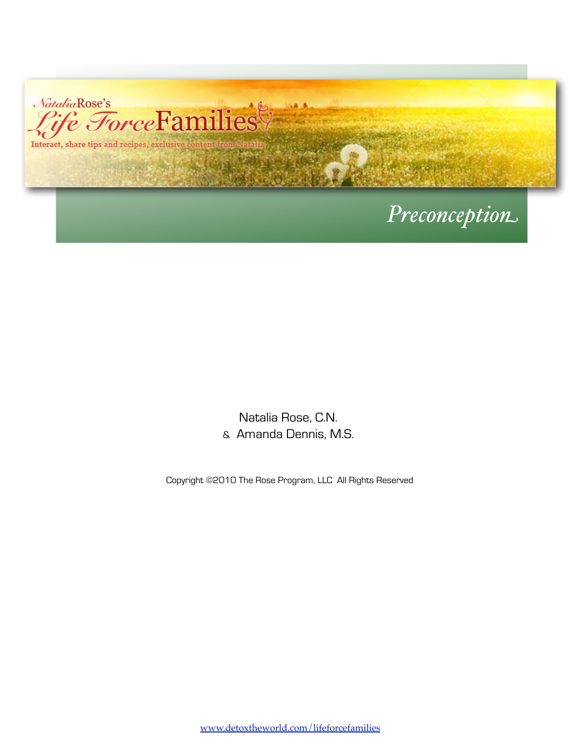

# *Preconception*

Natalia Rose, C.N. & Amanda Dennis, M.S.

Copyright ©2010 The Rose Program, LLC All Rights Reserved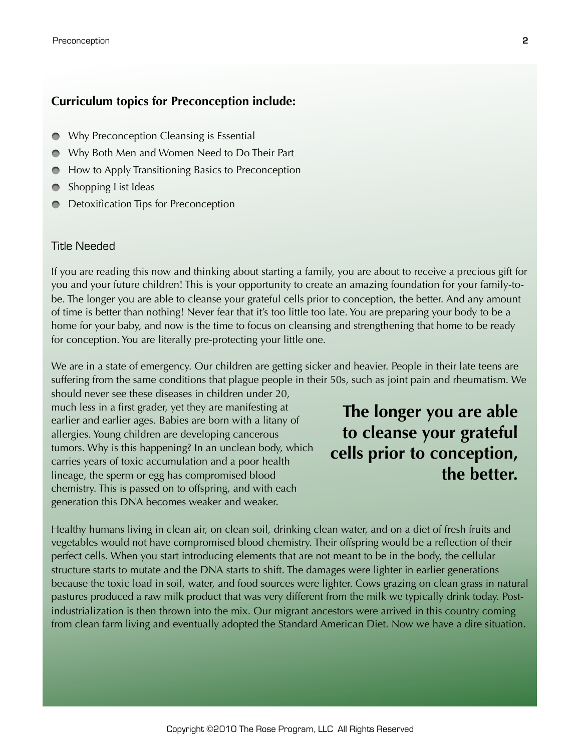#### **Curriculum topics for Preconception include:**

- Why Preconception Cleansing is Essential  $\bullet$
- Why Both Men and Women Need to Do Their Part
- How to Apply Transitioning Basics to Preconception
- Shopping List Ideas
- Detoxification Tips for Preconception

#### Title Needed

If you are reading this now and thinking about starting a family, you are about to receive a precious gift for you and your future children! This is your opportunity to create an amazing foundation for your family-tobe. The longer you are able to cleanse your grateful cells prior to conception, the better. And any amount of time is better than nothing! Never fear that it's too little too late. You are preparing your body to be a home for your baby, and now is the time to focus on cleansing and strengthening that home to be ready for conception. You are literally pre-protecting your little one.

We are in a state of emergency. Our children are getting sicker and heavier. People in their late teens are suffering from the same conditions that plague people in their 50s, such as joint pain and rheumatism. We

should never see these diseases in children under 20, much less in a first grader, yet they are manifesting at earlier and earlier ages. Babies are born with a litany of allergies. Young children are developing cancerous tumors. Why is this happening? In an unclean body, which carries years of toxic accumulation and a poor health lineage, the sperm or egg has compromised blood chemistry. This is passed on to offspring, and with each generation this DNA becomes weaker and weaker.

**The longer you are able to cleanse your grateful cells prior to conception, the better.**

Healthy humans living in clean air, on clean soil, drinking clean water, and on a diet of fresh fruits and vegetables would not have compromised blood chemistry. Their offspring would be a reflection of their perfect cells. When you start introducing elements that are not meant to be in the body, the cellular structure starts to mutate and the DNA starts to shift. The damages were lighter in earlier generations because the toxic load in soil, water, and food sources were lighter. Cows grazing on clean grass in natural pastures produced a raw milk product that was very different from the milk we typically drink today. Postindustrialization is then thrown into the mix. Our migrant ancestors were arrived in this country coming from clean farm living and eventually adopted the Standard American Diet. Now we have a dire situation.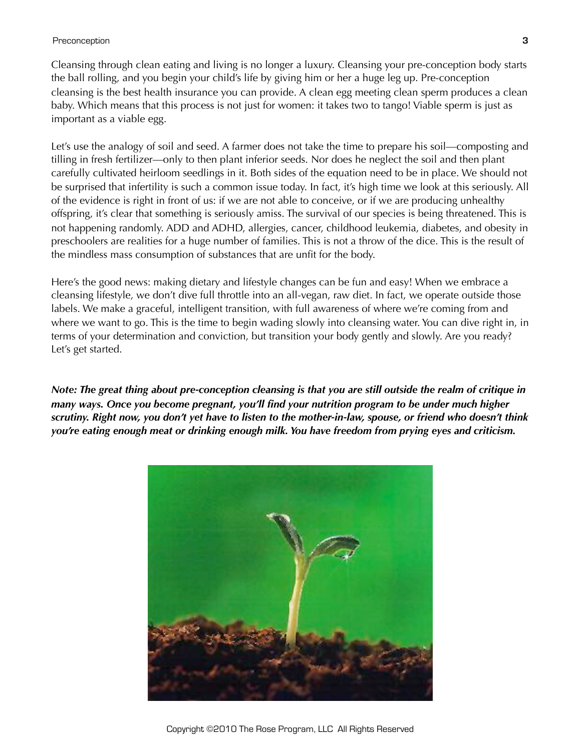#### Preconception **3**

Cleansing through clean eating and living is no longer a luxury. Cleansing your pre-conception body starts the ball rolling, and you begin your child's life by giving him or her a huge leg up. Pre-conception cleansing is the best health insurance you can provide. A clean egg meeting clean sperm produces a clean baby. Which means that this process is not just for women: it takes two to tango! Viable sperm is just as important as a viable egg.

Let's use the analogy of soil and seed. A farmer does not take the time to prepare his soil—composting and tilling in fresh fertilizer—only to then plant inferior seeds. Nor does he neglect the soil and then plant carefully cultivated heirloom seedlings in it. Both sides of the equation need to be in place. We should not be surprised that infertility is such a common issue today. In fact, it's high time we look at this seriously. All of the evidence is right in front of us: if we are not able to conceive, or if we are producing unhealthy offspring, it's clear that something is seriously amiss. The survival of our species is being threatened. This is not happening randomly. ADD and ADHD, allergies, cancer, childhood leukemia, diabetes, and obesity in preschoolers are realities for a huge number of families. This is not a throw of the dice. This is the result of the mindless mass consumption of substances that are unfit for the body.

Here's the good news: making dietary and lifestyle changes can be fun and easy! When we embrace a cleansing lifestyle, we don't dive full throttle into an all-vegan, raw diet. In fact, we operate outside those labels. We make a graceful, intelligent transition, with full awareness of where we're coming from and where we want to go. This is the time to begin wading slowly into cleansing water. You can dive right in, in terms of your determination and conviction, but transition your body gently and slowly. Are you ready? Let's get started.

*Note: The great thing about pre-conception cleansing is that you are still outside the realm of critique in many ways. Once you become pregnant, you'll find your nutrition program to be under much higher scrutiny. Right now, you don't yet have to listen to the mother-in-law, spouse, or friend who doesn't think you're eating enough meat or drinking enough milk. You have freedom from prying eyes and criticism.*

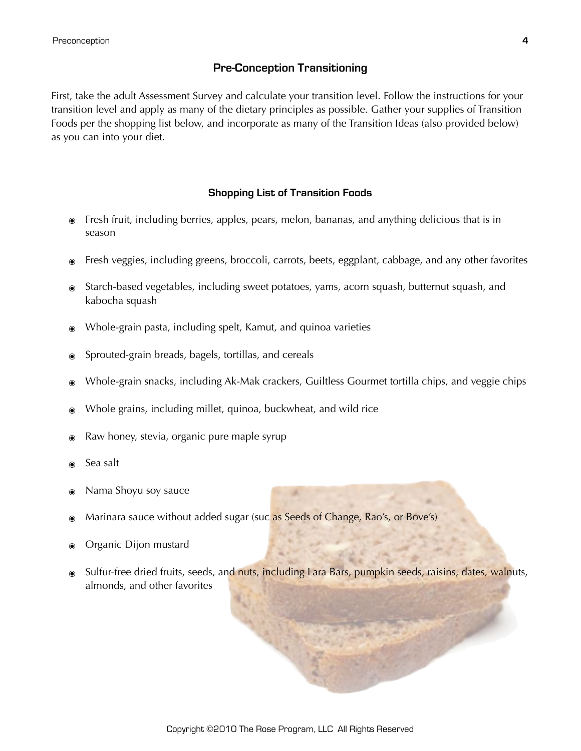# **Pre-Conception Transitioning**

First, take the adult Assessment Survey and calculate your transition level. Follow the instructions for your transition level and apply as many of the dietary principles as possible. Gather your supplies of Transition Foods per the shopping list below, and incorporate as many of the Transition Ideas (also provided below) as you can into your diet.

## **Shopping List of Transition Foods**

- ๏ Fresh fruit, including berries, apples, pears, melon, bananas, and anything delicious that is in season
- ๏ Fresh veggies, including greens, broccoli, carrots, beets, eggplant, cabbage, and any other favorites
- ๏ Starch-based vegetables, including sweet potatoes, yams, acorn squash, butternut squash, and kabocha squash
- ๏ Whole-grain pasta, including spelt, Kamut, and quinoa varieties
- Sprouted-grain breads, bagels, tortillas, and cereals
- Whole-grain snacks, including Ak-Mak crackers, Guiltless Gourmet tortilla chips, and veggie chips
- Whole grains, including millet, quinoa, buckwheat, and wild rice
- Raw honey, stevia, organic pure maple syrup
- Sea salt
- ๏ Nama Shoyu soy sauce
- Marinara sauce without added sugar (suc as Seeds of Change, Rao's, or Bove's)
- Organic Dijon mustard
- Sulfur-free dried fruits, seeds, and nuts, including Lara Bars, pumpkin seeds, raisins, dates, walnuts, almonds, and other favorites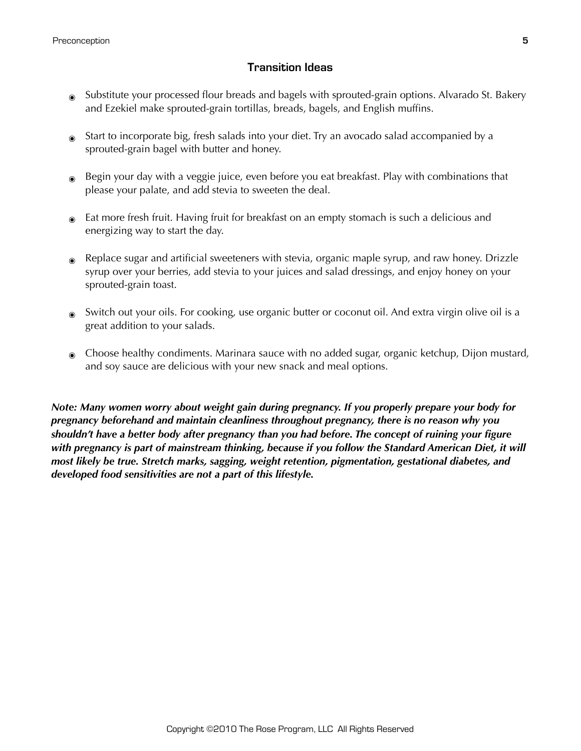## **Transition Ideas**

- Substitute your processed flour breads and bagels with sprouted-grain options. Alvarado St. Bakery and Ezekiel make sprouted-grain tortillas, breads, bagels, and English muffins.
- Start to incorporate big, fresh salads into your diet. Try an avocado salad accompanied by a sprouted-grain bagel with butter and honey.
- Begin your day with a veggie juice, even before you eat breakfast. Play with combinations that please your palate, and add stevia to sweeten the deal.
- Eat more fresh fruit. Having fruit for breakfast on an empty stomach is such a delicious and energizing way to start the day.
- Replace sugar and artificial sweeteners with stevia, organic maple syrup, and raw honey. Drizzle syrup over your berries, add stevia to your juices and salad dressings, and enjoy honey on your sprouted-grain toast.
- Switch out your oils. For cooking, use organic butter or coconut oil. And extra virgin olive oil is a great addition to your salads.
- ๏ Choose healthy condiments. Marinara sauce with no added sugar, organic ketchup, Dijon mustard, and soy sauce are delicious with your new snack and meal options.

*Note: Many women worry about weight gain during pregnancy. If you properly prepare your body for pregnancy beforehand and maintain cleanliness throughout pregnancy, there is no reason why you shouldn't have a better body after pregnancy than you had before. The concept of ruining your figure with pregnancy is part of mainstream thinking, because if you follow the Standard American Diet, it will most likely be true. Stretch marks, sagging, weight retention, pigmentation, gestational diabetes, and developed food sensitivities are not a part of this lifestyle.*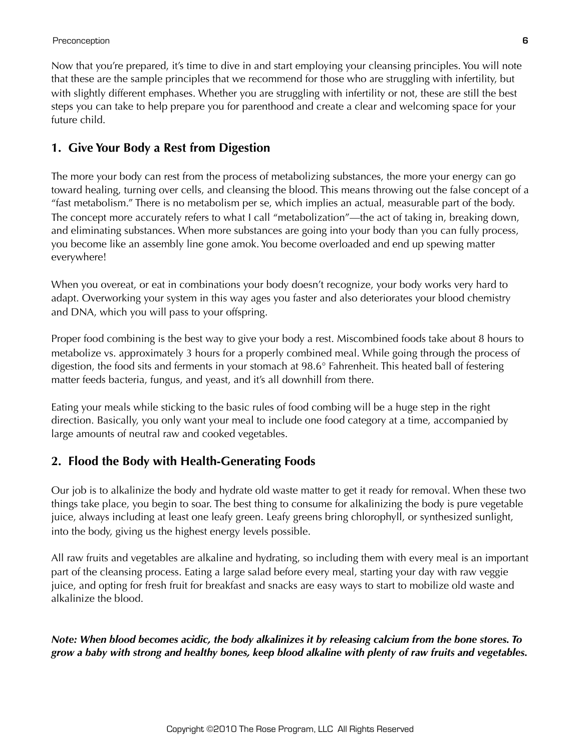Now that you're prepared, it's time to dive in and start employing your cleansing principles. You will note that these are the sample principles that we recommend for those who are struggling with infertility, but with slightly different emphases. Whether you are struggling with infertility or not, these are still the best steps you can take to help prepare you for parenthood and create a clear and welcoming space for your future child.

# **1. Give Your Body a Rest from Digestion**

The more your body can rest from the process of metabolizing substances, the more your energy can go toward healing, turning over cells, and cleansing the blood. This means throwing out the false concept of a "fast metabolism." There is no metabolism per se, which implies an actual, measurable part of the body. The concept more accurately refers to what I call "metabolization"—the act of taking in, breaking down, and eliminating substances. When more substances are going into your body than you can fully process, you become like an assembly line gone amok. You become overloaded and end up spewing matter everywhere!

When you overeat, or eat in combinations your body doesn't recognize, your body works very hard to adapt. Overworking your system in this way ages you faster and also deteriorates your blood chemistry and DNA, which you will pass to your offspring.

Proper food combining is the best way to give your body a rest. Miscombined foods take about 8 hours to metabolize vs. approximately 3 hours for a properly combined meal. While going through the process of digestion, the food sits and ferments in your stomach at 98.6° Fahrenheit. This heated ball of festering matter feeds bacteria, fungus, and yeast, and it's all downhill from there.

Eating your meals while sticking to the basic rules of food combing will be a huge step in the right direction. Basically, you only want your meal to include one food category at a time, accompanied by large amounts of neutral raw and cooked vegetables.

# **2. Flood the Body with Health-Generating Foods**

Our job is to alkalinize the body and hydrate old waste matter to get it ready for removal. When these two things take place, you begin to soar. The best thing to consume for alkalinizing the body is pure vegetable juice, always including at least one leafy green. Leafy greens bring chlorophyll, or synthesized sunlight, into the body, giving us the highest energy levels possible.

All raw fruits and vegetables are alkaline and hydrating, so including them with every meal is an important part of the cleansing process. Eating a large salad before every meal, starting your day with raw veggie juice, and opting for fresh fruit for breakfast and snacks are easy ways to start to mobilize old waste and alkalinize the blood.

*Note: When blood becomes acidic, the body alkalinizes it by releasing calcium from the bone stores. To grow a baby with strong and healthy bones, keep blood alkaline with plenty of raw fruits and vegetables.*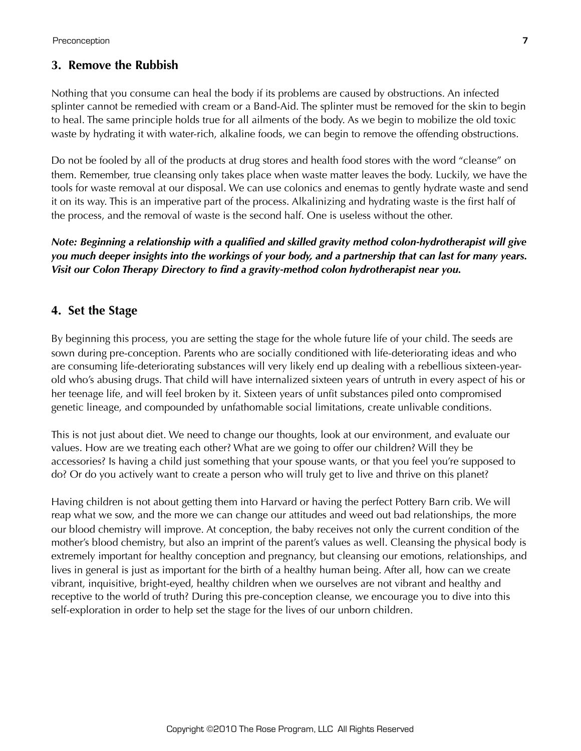## **3. Remove the Rubbish**

Nothing that you consume can heal the body if its problems are caused by obstructions. An infected splinter cannot be remedied with cream or a Band-Aid. The splinter must be removed for the skin to begin to heal. The same principle holds true for all ailments of the body. As we begin to mobilize the old toxic waste by hydrating it with water-rich, alkaline foods, we can begin to remove the offending obstructions.

Do not be fooled by all of the products at drug stores and health food stores with the word "cleanse" on them. Remember, true cleansing only takes place when waste matter leaves the body. Luckily, we have the tools for waste removal at our disposal. We can use colonics and enemas to gently hydrate waste and send it on its way. This is an imperative part of the process. Alkalinizing and hydrating waste is the first half of the process, and the removal of waste is the second half. One is useless without the other.

*Note: Beginning a relationship with a qualified and skilled gravity method colon-hydrotherapist will give you much deeper insights into the workings of your body, and a partnership that can last for many years. Visit our Colon Therapy Directory to find a gravity-method colon hydrotherapist near you.*

## **4. Set the Stage**

By beginning this process, you are setting the stage for the whole future life of your child. The seeds are sown during pre-conception. Parents who are socially conditioned with life-deteriorating ideas and who are consuming life-deteriorating substances will very likely end up dealing with a rebellious sixteen-yearold who's abusing drugs. That child will have internalized sixteen years of untruth in every aspect of his or her teenage life, and will feel broken by it. Sixteen years of unfit substances piled onto compromised genetic lineage, and compounded by unfathomable social limitations, create unlivable conditions.

This is not just about diet. We need to change our thoughts, look at our environment, and evaluate our values. How are we treating each other? What are we going to offer our children? Will they be accessories? Is having a child just something that your spouse wants, or that you feel you're supposed to do? Or do you actively want to create a person who will truly get to live and thrive on this planet?

Having children is not about getting them into Harvard or having the perfect Pottery Barn crib. We will reap what we sow, and the more we can change our attitudes and weed out bad relationships, the more our blood chemistry will improve. At conception, the baby receives not only the current condition of the mother's blood chemistry, but also an imprint of the parent's values as well. Cleansing the physical body is extremely important for healthy conception and pregnancy, but cleansing our emotions, relationships, and lives in general is just as important for the birth of a healthy human being. After all, how can we create vibrant, inquisitive, bright-eyed, healthy children when we ourselves are not vibrant and healthy and receptive to the world of truth? During this pre-conception cleanse, we encourage you to dive into this self-exploration in order to help set the stage for the lives of our unborn children.